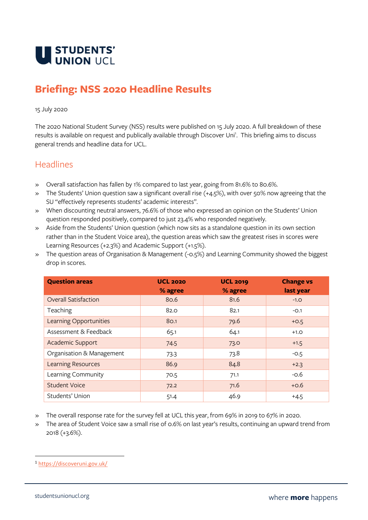

# **Briefing: NSS 2020 Headline Results**

#### 15 July 2020

The 2020 National Student Survey (NSS) results were published on 15 July 2020. A full breakdown of these results is available on request and publically available through Discover Uni<sup>1</sup>. This briefing aims to discuss general trends and headline data for UCL.

### **Headlines**

- » Overall satisfaction has fallen by 1% compared to last year, going from 81.6% to 80.6%.
- » The Students' Union question saw a significant overall rise (+4.5%), with over 50% now agreeing that the SU "effectively represents students' academic interests".
- » When discounting neutral answers, 76.6% of those who expressed an opinion on the Students' Union question responded positively, compared to just 23.4% who responded negatively.
- » Aside from the Students' Union question (which now sits as a standalone question in its own section rather than in the Student Voice area), the question areas which saw the greatest rises in scores were Learning Resources (+2.3%) and Academic Support (+1.5%).
- » The question areas of Organisation & Management (-0.5%) and Learning Community showed the biggest drop in scores.

| <b>Question areas</b>       | <b>UCL 2020</b><br>% agree | <b>UCL 2019</b><br>% agree | <b>Change vs</b><br>last year |
|-----------------------------|----------------------------|----------------------------|-------------------------------|
| <b>Overall Satisfaction</b> | 80.6                       | 81.6                       | $-1.0$                        |
| Teaching                    | 82.0                       | 82.1                       | $-0.1$                        |
| Learning Opportunities      | 80.1                       | 79.6                       | $+0.5$                        |
| Assessment & Feedback       | 65.1                       | 64.1                       | $+1.0$                        |
| Academic Support            | 74.5                       | 73.0                       | $+1.5$                        |
| Organisation & Management   | 73.3                       | 73.8                       | $-0.5$                        |
| <b>Learning Resources</b>   | 86.9                       | 84.8                       | $+2.3$                        |
| Learning Community          | 70.5                       | 71.1                       | $-0.6$                        |
| <b>Student Voice</b>        | 72.2                       | 71.6                       | $+0.6$                        |
| Students' Union             | 51.4                       | 46.9                       | $+4.5$                        |

- » The overall response rate for the survey fell at UCL this year, from 69% in 2019 to 67% in 2020.
- » The area of Student Voice saw a small rise of 0.6% on last year's results, continuing an upward trend from 2018 (+3.6%).

<sup>1</sup> <https://discoveruni.gov.uk/>